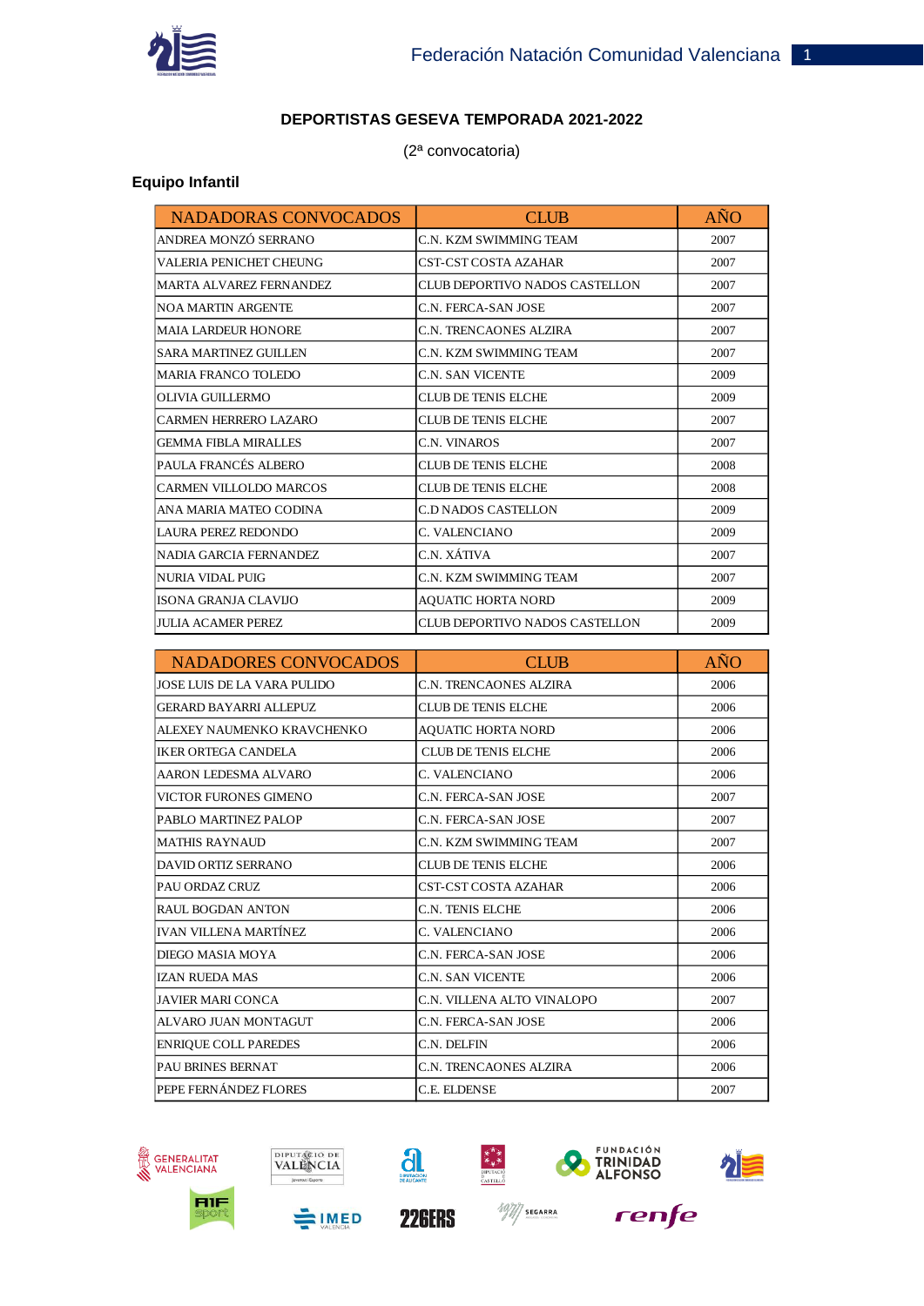

## **DEPORTISTAS GESEVA TEMPORADA 2021-2022**

(2ª convocatoria)

## **Equipo Infantil**

| <b>NADADORAS CONVOCADOS</b>    | <b>CLUB</b>                    | <b>AÑO</b> |
|--------------------------------|--------------------------------|------------|
| ANDREA MONZÓ SERRANO           | C.N. KZM SWIMMING TEAM         | 2007       |
| VALERIA PENICHET CHEUNG        | CST-CST COSTA AZAHAR           | 2007       |
| <b>MARTA ALVAREZ FERNANDEZ</b> | CLUB DEPORTIVO NADOS CASTELLON | 2007       |
| <b>NOA MARTIN ARGENTE</b>      | C.N. FERCA-SAN JOSE            | 2007       |
| <b>MAIA LARDEUR HONORE</b>     | C.N. TRENCAONES ALZIRA         | 2007       |
| <b>SARA MARTINEZ GUILLEN</b>   | C.N. KZM SWIMMING TEAM         | 2007       |
| <b>MARIA FRANCO TOLEDO</b>     | C.N. SAN VICENTE               | 2009       |
| <b>OLIVIA GUILLERMO</b>        | <b>CLUB DE TENIS ELCHE</b>     | 2009       |
| <b>CARMEN HERRERO LAZARO</b>   | <b>CLUB DE TENIS ELCHE</b>     | 2007       |
| <b>GEMMA FIBLA MIRALLES</b>    | C.N. VINAROS                   | 2007       |
| PAULA FRANCÉS ALBERO           | <b>CLUB DE TENIS ELCHE</b>     | 2008       |
| <b>CARMEN VILLOLDO MARCOS</b>  | <b>CLUB DE TENIS ELCHE</b>     | 2008       |
| ANA MARIA MATEO CODINA         | C.D NADOS CASTELLON            | 2009       |
| LAURA PEREZ REDONDO            | C. VALENCIANO                  | 2009       |
| <b>NADIA GARCIA FERNANDEZ</b>  | C.N. XÁTIVA                    | 2007       |
| <b>NURIA VIDAL PUIG</b>        | C.N. KZM SWIMMING TEAM         | 2007       |
| ISONA GRANJA CLAVIJO           | AQUATIC HORTA NORD             | 2009       |
| <b>JULIA ACAMER PEREZ</b>      | CLUB DEPORTIVO NADOS CASTELLON | 2009       |

| <b>NADADORES CONVOCADOS</b>   | <b>CLUB</b>                | AÑO  |
|-------------------------------|----------------------------|------|
| JOSE LUIS DE LA VARA PULIDO   | C.N. TRENCAONES ALZIRA     | 2006 |
| <b>GERARD BAYARRI ALLEPUZ</b> | CLUB DE TENIS ELCHE        | 2006 |
| ALEXEY NAUMENKO KRAVCHENKO    | <b>AQUATIC HORTA NORD</b>  | 2006 |
| <b>IKER ORTEGA CANDELA</b>    | <b>CLUB DE TENIS ELCHE</b> | 2006 |
| AARON LEDESMA ALVARO          | C. VALENCIANO              | 2006 |
| VICTOR FURONES GIMENO         | C.N. FERCA-SAN JOSE        | 2007 |
| PABLO MARTINEZ PALOP          | C.N. FERCA-SAN JOSE        | 2007 |
| <b>MATHIS RAYNAUD</b>         | C.N. KZM SWIMMING TEAM     | 2007 |
| <b>DAVID ORTIZ SERRANO</b>    | CLUB DE TENIS ELCHE        | 2006 |
| PAU ORDAZ CRUZ                | CST-CST COSTA AZAHAR       | 2006 |
| <b>RAUL BOGDAN ANTON</b>      | <b>C.N. TENIS ELCHE</b>    | 2006 |
| <b>IVAN VILLENA MARTÍNEZ</b>  | C. VALENCIANO              | 2006 |
| DIEGO MASIA MOYA              | C.N. FERCA-SAN JOSE        | 2006 |
| <b>IZAN RUEDA MAS</b>         | C.N. SAN VICENTE           | 2006 |
| <b>JAVIER MARI CONCA</b>      | C.N. VILLENA ALTO VINALOPO | 2007 |
| ALVARO JUAN MONTAGUT          | C.N. FERCA-SAN JOSE        | 2006 |
| <b>ENRIQUE COLL PAREDES</b>   | C.N. DELFIN                | 2006 |
| <b>PAU BRINES BERNAT</b>      | C.N. TRENCAONES ALZIRA     | 2006 |
| PEPE FERNÁNDEZ FLORES         | C.E. ELDENSE               | 2007 |





**SIMED** 







renfe





**226ERS** 

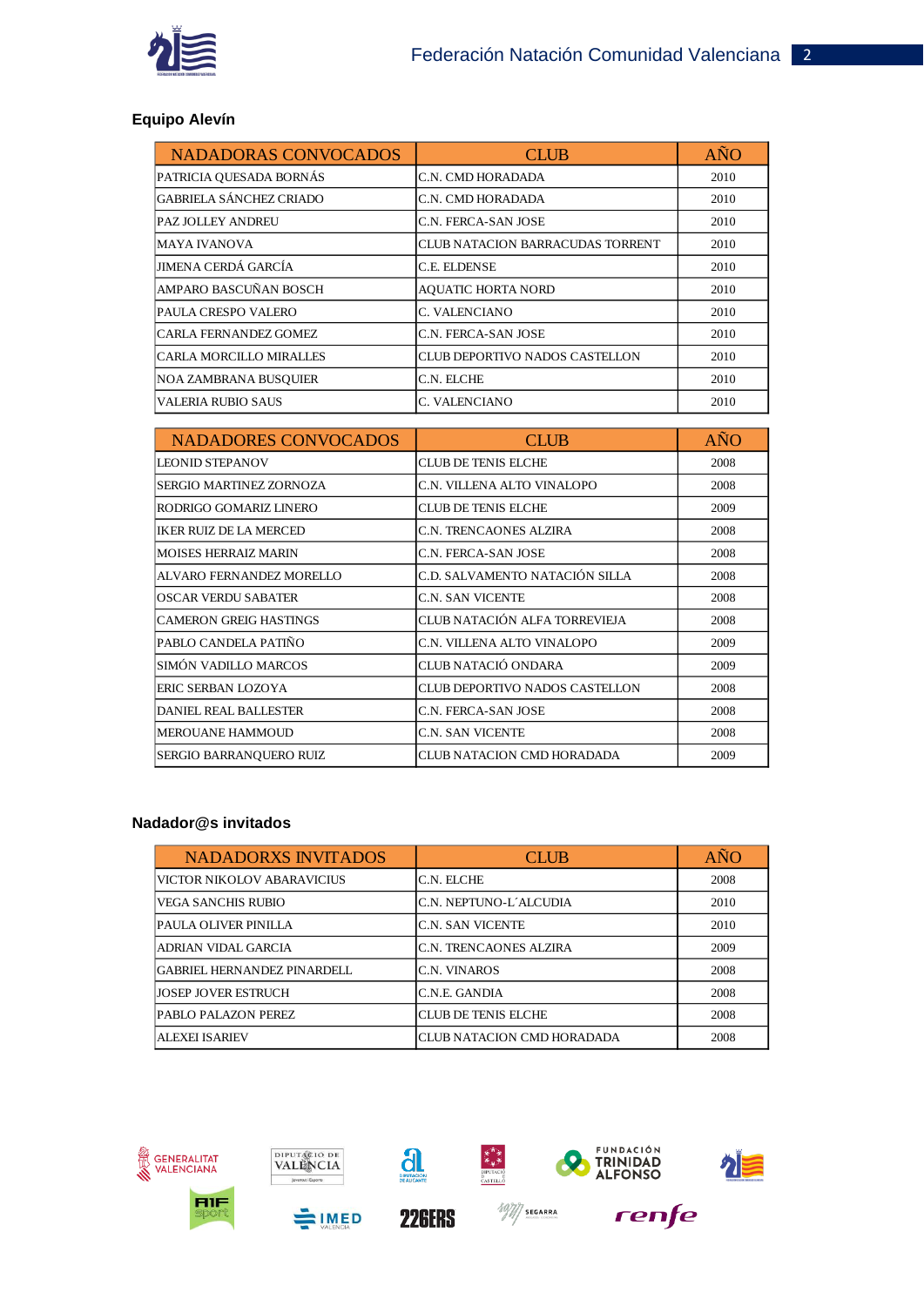

## **Equipo Alevín**

| <b>NADADORAS CONVOCADOS</b>    | <b>CLUB</b>                      | AÑO  |
|--------------------------------|----------------------------------|------|
| PATRICIA QUESADA BORNÁS        | C.N. CMD HORADADA                | 2010 |
| <b>GABRIELA SÁNCHEZ CRIADO</b> | C.N. CMD HORADADA                | 2010 |
| <b>PAZ JOLLEY ANDREU</b>       | C.N. FERCA-SAN JOSE              | 2010 |
| <b>MAYA IVANOVA</b>            | CLUB NATACION BARRACUDAS TORRENT | 2010 |
| JIMENA CERDÁ GARCÍA            | C.E. ELDENSE                     | 2010 |
| AMPARO BASCUÑAN BOSCH          | <b>AQUATIC HORTA NORD</b>        | 2010 |
| PAULA CRESPO VALERO            | C. VALENCIANO                    | 2010 |
| <b>CARLA FERNANDEZ GOMEZ</b>   | C.N. FERCA-SAN JOSE              | 2010 |
| CARLA MORCILLO MIRALLES        | CLUB DEPORTIVO NADOS CASTELLON   | 2010 |
| NOA ZAMBRANA BUSOUIER          | C.N. ELCHE                       | 2010 |
| <b>VALERIA RUBIO SAUS</b>      | C. VALENCIANO                    | 2010 |

| <b>NADADORES CONVOCADOS</b>   | <b>CLUB</b>                    | <b>AÑO</b> |
|-------------------------------|--------------------------------|------------|
| <b>LEONID STEPANOV</b>        | CLUB DE TENIS ELCHE            | 2008       |
| SERGIO MARTINEZ ZORNOZA       | C.N. VILLENA ALTO VINALOPO     | 2008       |
| RODRIGO GOMARIZ LINERO        | CLUB DE TENIS ELCHE            | 2009       |
| <b>IKER RUIZ DE LA MERCED</b> | C.N. TRENCAONES ALZIRA         | 2008       |
| <b>MOISES HERRAIZ MARIN</b>   | C.N. FERCA-SAN JOSE            | 2008       |
| ALVARO FERNANDEZ MORELLO      | C.D. SALVAMENTO NATACIÓN SILLA | 2008       |
| OSCAR VERDU SABATER           | C.N. SAN VICENTE               | 2008       |
| ICAMERON GREIG HASTINGS       | CLUB NATACIÓN ALFA TORREVIEJA  | 2008       |
| PABLO CANDELA PATIÑO          | C.N. VILLENA ALTO VINALOPO     | 2009       |
| SIMÓN VADILLO MARCOS          | CLUB NATACIÓ ONDARA            | 2009       |
| ERIC SERBAN LOZOYA            | CLUB DEPORTIVO NADOS CASTELLON | 2008       |
| <b>DANIEL REAL BALLESTER</b>  | C.N. FERCA-SAN JOSE            | 2008       |
| <b>MEROUANE HAMMOUD</b>       | C.N. SAN VICENTE               | 2008       |
| SERGIO BARRANQUERO RUIZ       | CLUB NATACION CMD HORADADA     | 2009       |

## **Nadador@s invitados**

| <b>NADADORXS INVITADOS</b>  | <b>CLUB</b>                | <b>ANO</b> |
|-----------------------------|----------------------------|------------|
| VICTOR NIKOLOV ABARAVICIUS  | C.N. ELCHE                 | 2008       |
| VEGA SANCHIS RUBIO          | C.N. NEPTUNO-L'ALCUDIA     | 2010       |
| PAULA OLIVER PINILLA        | C.N. SAN VICENTE           | 2010       |
| ADRIAN VIDAL GARCIA         | C.N. TRENCAONES ALZIRA     | 2009       |
| GABRIEL HERNANDEZ PINARDELL | C.N. VINAROS               | 2008       |
| <b>JOSEP JOVER ESTRUCH</b>  | C.N.E. GANDIA              | 2008       |
| PABLO PALAZON PEREZ         | <b>CLUB DE TENIS ELCHE</b> | 2008       |
| ALEXEI ISARIEV              | CLUB NATACION CMD HORADADA | 2008       |





**SIMED** 



**226ERS** 



 $\frac{397}{7}$  SEGARRA



renfe